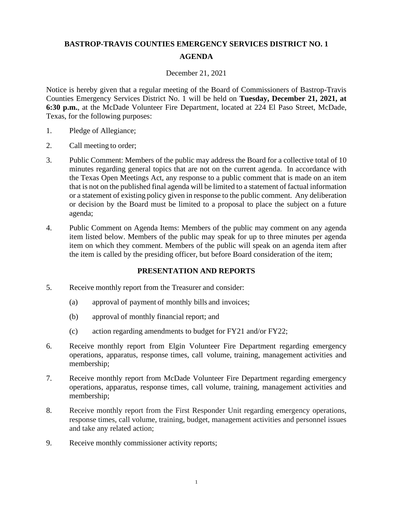# **BASTROP-TRAVIS COUNTIES EMERGENCY SERVICES DISTRICT NO. 1 AGENDA**

#### December 21, 2021

Notice is hereby given that a regular meeting of the Board of Commissioners of Bastrop-Travis Counties Emergency Services District No. 1 will be held on **Tuesday, December 21, 2021, at 6:30 p.m.**, at the McDade Volunteer Fire Department, located at 224 El Paso Street, McDade, Texas, for the following purposes:

- 1. Pledge of Allegiance;
- 2. Call meeting to order;
- 3. Public Comment: Members of the public may address the Board for a collective total of 10 minutes regarding general topics that are not on the current agenda. In accordance with the Texas Open Meetings Act, any response to a public comment that is made on an item that is not on the published final agenda will be limited to a statement of factual information or a statement of existing policy given in response to the public comment. Any deliberation or decision by the Board must be limited to a proposal to place the subject on a future agenda;
- 4. Public Comment on Agenda Items: Members of the public may comment on any agenda item listed below. Members of the public may speak for up to three minutes per agenda item on which they comment. Members of the public will speak on an agenda item after the item is called by the presiding officer, but before Board consideration of the item;

#### **PRESENTATION AND REPORTS**

- 5. Receive monthly report from the Treasurer and consider:
	- (a) approval of payment of monthly bills and invoices;
	- (b) approval of monthly financial report; and
	- (c) action regarding amendments to budget for FY21 and/or FY22;
- 6. Receive monthly report from Elgin Volunteer Fire Department regarding emergency operations, apparatus, response times, call volume, training, management activities and membership;
- 7. Receive monthly report from McDade Volunteer Fire Department regarding emergency operations, apparatus, response times, call volume, training, management activities and membership;
- 8. Receive monthly report from the First Responder Unit regarding emergency operations, response times, call volume, training, budget, management activities and personnel issues and take any related action;
- 9. Receive monthly commissioner activity reports;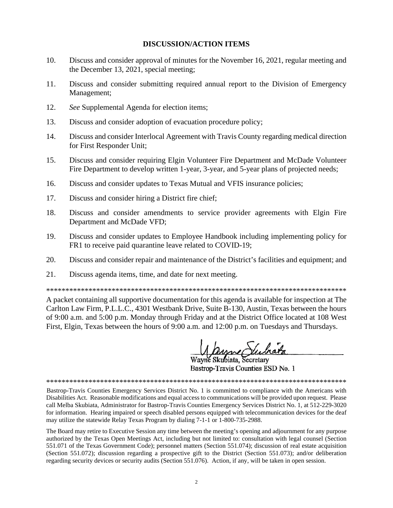#### **DISCUSSION/ACTION ITEMS**

- 10. Discuss and consider approval of minutes for the November 16, 2021, regular meeting and the December 13, 2021, special meeting;
- 11. Discuss and consider submitting required annual report to the Division of Emergency Management;
- $12<sub>1</sub>$ See Supplemental Agenda for election items;
- 13. Discuss and consider adoption of evacuation procedure policy;
- 14. Discuss and consider Interlocal Agreement with Travis County regarding medical direction for First Responder Unit;
- Discuss and consider requiring Elgin Volunteer Fire Department and McDade Volunteer 15. Fire Department to develop written 1-year, 3-year, and 5-year plans of projected needs;
- 16. Discuss and consider updates to Texas Mutual and VFIS insurance policies;
- 17. Discuss and consider hiring a District fire chief;
- 18. Discuss and consider amendments to service provider agreements with Elgin Fire Department and McDade VFD;
- 19. Discuss and consider updates to Employee Handbook including implementing policy for FR1 to receive paid quarantine leave related to COVID-19;
- 20. Discuss and consider repair and maintenance of the District's facilities and equipment; and
- 21. Discuss agenda items, time, and date for next meeting.

A packet containing all supportive documentation for this agenda is available for inspection at The Carlton Law Firm, P.L.L.C., 4301 Westbank Drive, Suite B-130, Austin, Texas between the hours of 9:00 a.m. and 5:00 p.m. Monday through Friday and at the District Office located at 108 West First, Elgin, Texas between the hours of 9:00 a.m. and 12:00 p.m. on Tuesdays and Thursdays.

Mayne Suchata

Bastrop-Travis Counties ESD No. 1

Bastrop-Travis Counties Emergency Services District No. 1 is committed to compliance with the Americans with Disabilities Act. Reasonable modifications and equal access to communications will be provided upon request. Please call Melba Skubiata, Administrator for Bastrop-Travis Counties Emergency Services District No. 1, at 512-229-3020 for information. Hearing impaired or speech disabled persons equipped with telecommunication devices for the deaf may utilize the statewide Relay Texas Program by dialing 7-1-1 or 1-800-735-2988.

The Board may retire to Executive Session any time between the meeting's opening and adjournment for any purpose authorized by the Texas Open Meetings Act, including but not limited to: consultation with legal counsel (Section 551.071 of the Texas Government Code); personnel matters (Section 551.074); discussion of real estate acquisition (Section 551.072); discussion regarding a prospective gift to the District (Section 551.073); and/or deliberation regarding security devices or security audits (Section 551.076). Action, if any, will be taken in open session.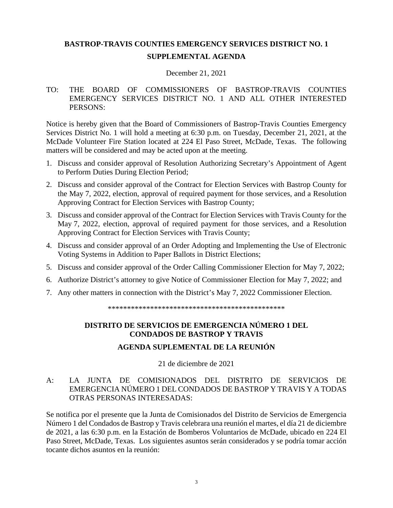# **BASTROP-TRAVIS COUNTIES EMERGENCY SERVICES DISTRICT NO. 1**

# **SUPPLEMENTAL AGENDA**

#### December 21, 2021

### TO: THE BOARD OF COMMISSIONERS OF BASTROP-TRAVIS COUNTIES EMERGENCY SERVICES DISTRICT NO. 1 AND ALL OTHER INTERESTED PERSONS:

Notice is hereby given that the Board of Commissioners of Bastrop-Travis Counties Emergency Services District No. 1 will hold a meeting at 6:30 p.m. on Tuesday, December 21, 2021, at the McDade Volunteer Fire Station located at 224 El Paso Street, McDade, Texas. The following matters will be considered and may be acted upon at the meeting.

- 1. Discuss and consider approval of Resolution Authorizing Secretary's Appointment of Agent to Perform Duties During Election Period;
- 2. Discuss and consider approval of the Contract for Election Services with Bastrop County for the May 7, 2022, election, approval of required payment for those services, and a Resolution Approving Contract for Election Services with Bastrop County;
- 3. Discuss and consider approval of the Contract for Election Services with Travis County for the May 7, 2022, election, approval of required payment for those services, and a Resolution Approving Contract for Election Services with Travis County;
- 4. Discuss and consider approval of an Order Adopting and Implementing the Use of Electronic Voting Systems in Addition to Paper Ballots in District Elections;
- 5. Discuss and consider approval of the Order Calling Commissioner Election for May 7, 2022;
- 6. Authorize District's attorney to give Notice of Commissioner Election for May 7, 2022; and
- 7. Any other matters in connection with the District's May 7, 2022 Commissioner Election.

\*\*\*\*\*\*\*\*\*\*\*\*\*\*\*\*\*\*\*\*\*\*\*\*\*\*\*\*\*\*\*\*\*\*\*\*\*\*\*\*\*\*\*\*\*\*

# **DISTRITO DE SERVICIOS DE EMERGENCIA NÚMERO 1 DEL CONDADOS DE BASTROP Y TRAVIS**

# **AGENDA SUPLEMENTAL DE LA REUNIÓN**

21 de diciembre de 2021

### A: LA JUNTA DE COMISIONADOS DEL DISTRITO DE SERVICIOS DE EMERGENCIA NÚMERO 1 DEL CONDADOS DE BASTROP Y TRAVIS Y A TODAS OTRAS PERSONAS INTERESADAS:

Se notifica por el presente que la Junta de Comisionados del Distrito de Servicios de Emergencia Número 1 del Condados de Bastrop y Travis celebrara una reunión el martes, el día 21 de diciembre de 2021, a las 6:30 p.m. en la Estación de Bomberos Voluntarios de McDade, ubicado en 224 El Paso Street, McDade, Texas. Los siguientes asuntos serán considerados y se podría tomar acción tocante dichos asuntos en la reunión: